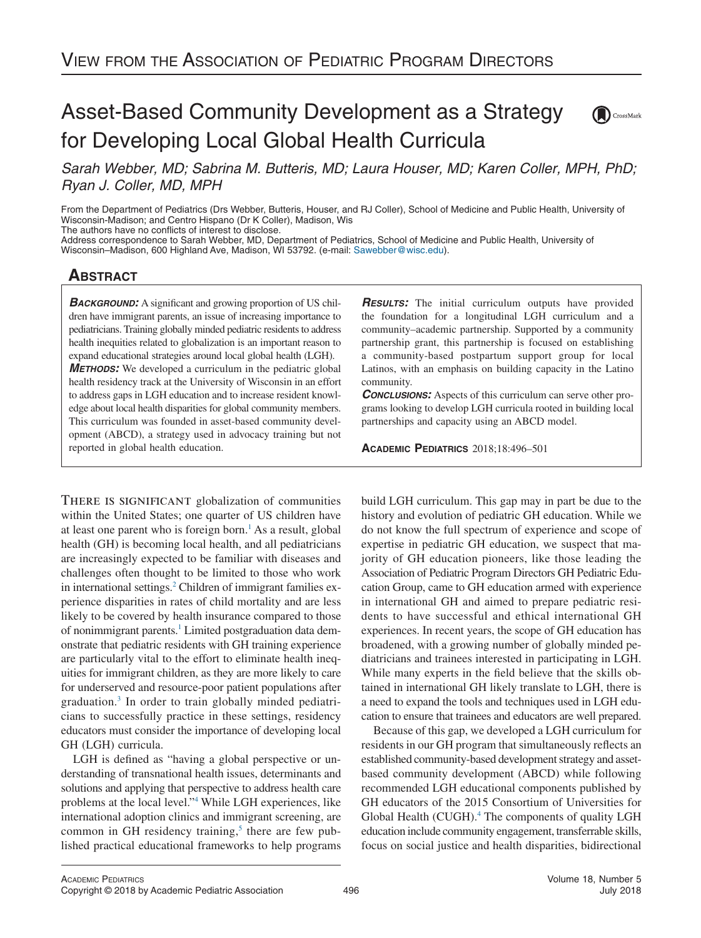# Asset-Based Community Development as a Strategy for Developing Local Global Health Curricula



*Sarah Webber, MD; Sabrina M. Butteris, MD; Laura Houser, MD; Karen Coller, MPH, PhD; Ryan J. Coller, MD, MPH*

From the Department of Pediatrics (Drs Webber, Butteris, Houser, and RJ Coller), School of Medicine and Public Health, University of Wisconsin-Madison; and Centro Hispano (Dr K Coller), Madison, Wis

The authors have no conflicts of interest to disclose.

Address correspondence to Sarah Webber, MD, Department of Pediatrics, School of Medicine and Public Health, University of Wisconsin–Madison, 600 Highland Ave, Madison, WI 53792. (e-mail: [Sawebber@wisc.edu\)](mailto:Sawebber@wisc.edu).

# **ABSTRACT**

**BACKGROUND:** A significant and growing proportion of US children have immigrant parents, an issue of increasing importance to pediatricians. Training globally minded pediatric residents to address health inequities related to globalization is an important reason to expand educational strategies around local global health (LGH).

*METHODS:* We developed a curriculum in the pediatric global health residency track at the University of Wisconsin in an effort to address gaps in LGH education and to increase resident knowledge about local health disparities for global community members. This curriculum was founded in asset-based community development (ABCD), a strategy used in advocacy training but not reported in global health education.

THERE IS SIGNIFICANT globalization of communities within the United States; one quarter of US children have at least one parent who is foreign born.<sup>1</sup> As a result, global health (GH) is becoming local health, and all pediatricians are increasingly expected to be familiar with diseases and challenges often thought to be limited to those who work in international settings.<sup>2</sup> Children of immigrant families experience disparities in rates of child mortality and are less likely to be covered by health insurance compared to those of nonimmigrant parents.<sup>1</sup> Limited postgraduation data demonstrate that pediatric residents with GH training experience are particularly vital to the effort to eliminate health inequities for immigrant children, as they are more likely to care for underserved and resource-poor patient populations after graduation.<sup>3</sup> In order to train globally minded pediatricians to successfully practice in these settings, residency educators must consider the importance of developing local GH (LGH) curricula.

LGH is defined as "having a global perspective or understanding of transnational health issues, determinants and solutions and applying that perspective to address health care problems at the local level.["4](#page-5-2) While LGH experiences, like international adoption clinics and immigrant screening, are common in GH residency training, $5$  there are few published practical educational frameworks to help programs

*RESULTS:* The initial curriculum outputs have provided the foundation for a longitudinal LGH curriculum and a community–academic partnership. Supported by a community partnership grant, this partnership is focused on establishing a community-based postpartum support group for local Latinos, with an emphasis on building capacity in the Latino community.

*CONCLUSIONS:* Aspects of this curriculum can serve other programs looking to develop LGH curricula rooted in building local partnerships and capacity using an ABCD model.

**ACADEMIC PEDIATRICS** 2018;18:496–501

build LGH curriculum. This gap may in part be due to the history and evolution of pediatric GH education. While we do not know the full spectrum of experience and scope of expertise in pediatric GH education, we suspect that majority of GH education pioneers, like those leading the Association of Pediatric Program Directors GH Pediatric Education Group, came to GH education armed with experience in international GH and aimed to prepare pediatric residents to have successful and ethical international GH experiences. In recent years, the scope of GH education has broadened, with a growing number of globally minded pediatricians and trainees interested in participating in LGH. While many experts in the field believe that the skills obtained in international GH likely translate to LGH, there is a need to expand the tools and techniques used in LGH education to ensure that trainees and educators are well prepared.

Because of this gap, we developed a LGH curriculum for residents in our GH program that simultaneously reflects an established community-based development strategy and assetbased community development (ABCD) while following recommended LGH educational components published by GH educators of the 2015 Consortium of Universities for Global Health (CUGH)[.4](#page-5-2) The components of quality LGH education include community engagement, transferrable skills, focus on social justice and health disparities, bidirectional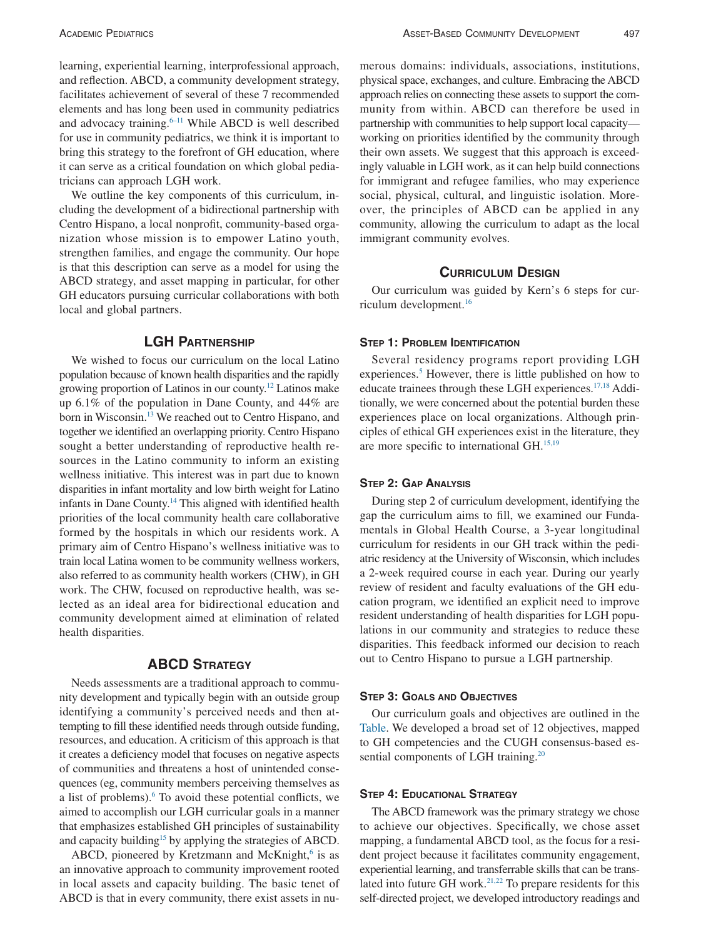learning, experiential learning, interprofessional approach, and reflection. ABCD, a community development strategy, facilitates achievement of several of these 7 recommended elements and has long been used in community pediatrics and advocacy training. $6-11$  While ABCD is well described for use in community pediatrics, we think it is important to bring this strategy to the forefront of GH education, where it can serve as a critical foundation on which global pediatricians can approach LGH work.

We outline the key components of this curriculum, including the development of a bidirectional partnership with Centro Hispano, a local nonprofit, community-based organization whose mission is to empower Latino youth, strengthen families, and engage the community. Our hope is that this description can serve as a model for using the ABCD strategy, and asset mapping in particular, for other GH educators pursuing curricular collaborations with both local and global partners.

# **LGH PARTNERSHIP**

We wished to focus our curriculum on the local Latino population because of known health disparities and the rapidly growing proportion of Latinos in our county[.12](#page-5-5) Latinos make up 6.1% of the population in Dane County, and 44% are born in Wisconsin.<sup>13</sup> We reached out to Centro Hispano, and together we identified an overlapping priority. Centro Hispano sought a better understanding of reproductive health resources in the Latino community to inform an existing wellness initiative. This interest was in part due to known disparities in infant mortality and low birth weight for Latino infants in Dane County.<sup>14</sup> This aligned with identified health priorities of the local community health care collaborative formed by the hospitals in which our residents work. A primary aim of Centro Hispano's wellness initiative was to train local Latina women to be community wellness workers, also referred to as community health workers (CHW), in GH work. The CHW, focused on reproductive health, was selected as an ideal area for bidirectional education and community development aimed at elimination of related health disparities.

# **ABCD STRATEGY**

Needs assessments are a traditional approach to community development and typically begin with an outside group identifying a community's perceived needs and then attempting to fill these identified needs through outside funding, resources, and education. A criticism of this approach is that it creates a deficiency model that focuses on negative aspects of communities and threatens a host of unintended consequences (eg, community members perceiving themselves as a list of problems).<sup>6</sup> To avoid these potential conflicts, we aimed to accomplish our LGH curricular goals in a manner that emphasizes established GH principles of sustainability and capacity building<sup>15</sup> by applying the strategies of ABCD.

ABCD, pioneered by Kretzmann and McKnight, $6$  is as an innovative approach to community improvement rooted in local assets and capacity building. The basic tenet of ABCD is that in every community, there exist assets in numerous domains: individuals, associations, institutions, physical space, exchanges, and culture. Embracing the ABCD approach relies on connecting these assets to support the community from within. ABCD can therefore be used in partnership with communities to help support local capacity working on priorities identified by the community through their own assets. We suggest that this approach is exceedingly valuable in LGH work, as it can help build connections for immigrant and refugee families, who may experience social, physical, cultural, and linguistic isolation. Moreover, the principles of ABCD can be applied in any community, allowing the curriculum to adapt as the local immigrant community evolves.

# **CURRICULUM DESIGN**

Our curriculum was guided by Kern's 6 steps for curriculum development[.16](#page-5-9)

# **STEP 1: PROBLEM IDENTIFICATION**

Several residency programs report providing LGH experiences.<sup>5</sup> However, there is little published on how to educate trainees through these LGH experiences.<sup>17,18</sup> Additionally, we were concerned about the potential burden these experiences place on local organizations. Although principles of ethical GH experiences exist in the literature, they are more specific to international GH.<sup>15,19</sup>

#### **STEP 2: GAP ANALYSIS**

During step 2 of curriculum development, identifying the gap the curriculum aims to fill, we examined our Fundamentals in Global Health Course, a 3-year longitudinal curriculum for residents in our GH track within the pediatric residency at the University of Wisconsin, which includes a 2-week required course in each year. During our yearly review of resident and faculty evaluations of the GH education program, we identified an explicit need to improve resident understanding of health disparities for LGH populations in our community and strategies to reduce these disparities. This feedback informed our decision to reach out to Centro Hispano to pursue a LGH partnership.

#### **STEP 3: GOALS AND OBJECTIVES**

Our curriculum goals and objectives are outlined in the [Table.](#page-2-0) We developed a broad set of 12 objectives, mapped to GH competencies and the CUGH consensus-based essential components of LGH training.<sup>20</sup>

### **STEP 4: EDUCATIONAL STRATEGY**

The ABCD framework was the primary strategy we chose to achieve our objectives. Specifically, we chose asset mapping, a fundamental ABCD tool, as the focus for a resident project because it facilitates community engagement, experiential learning, and transferrable skills that can be translated into future GH work. $21,22$  To prepare residents for this self-directed project, we developed introductory readings and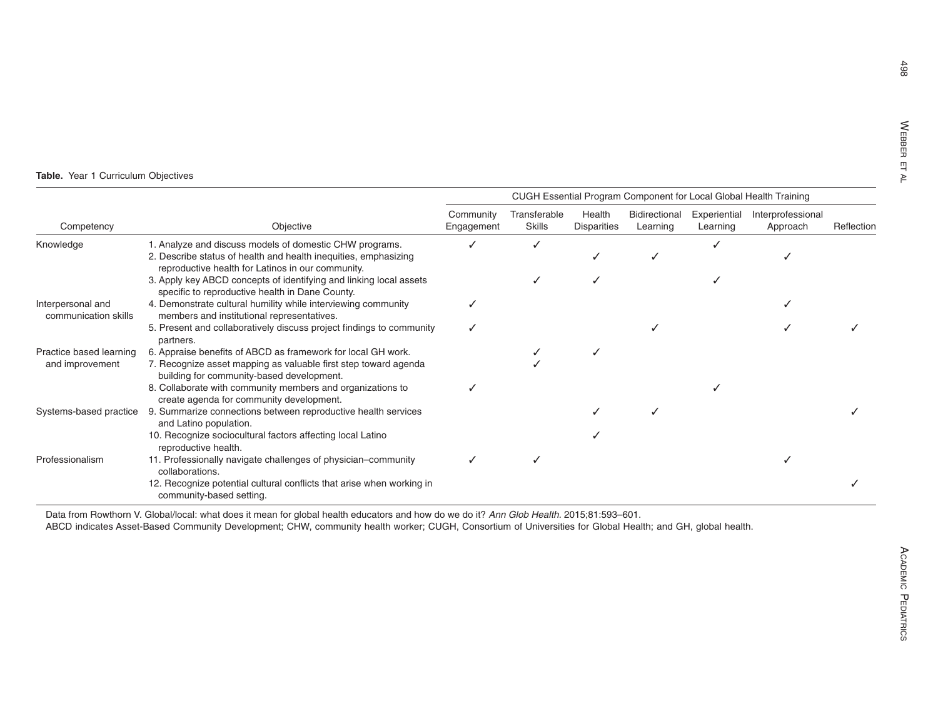498

#### **Table.** Year 1 Curriculum Objectives

|                                            |                                                                                                                                                                                       | CUGH Essential Program Component for Local Global Health Training |                        |                              |                           |                          |                               |            |
|--------------------------------------------|---------------------------------------------------------------------------------------------------------------------------------------------------------------------------------------|-------------------------------------------------------------------|------------------------|------------------------------|---------------------------|--------------------------|-------------------------------|------------|
| Competency                                 | Objective                                                                                                                                                                             | Community<br>Engagement                                           | Transferable<br>Skills | Health<br><b>Disparities</b> | Bidirectional<br>Learning | Experiential<br>Learning | Interprofessional<br>Approach | Reflection |
| Knowledge                                  | 1. Analyze and discuss models of domestic CHW programs.<br>2. Describe status of health and health inequities, emphasizing<br>reproductive health for Latinos in our community.       |                                                                   |                        |                              |                           |                          |                               |            |
|                                            | 3. Apply key ABCD concepts of identifying and linking local assets<br>specific to reproductive health in Dane County.                                                                 |                                                                   |                        |                              |                           |                          |                               |            |
| Interpersonal and<br>communication skills  | 4. Demonstrate cultural humility while interviewing community<br>members and institutional representatives.                                                                           |                                                                   |                        |                              |                           |                          |                               |            |
|                                            | 5. Present and collaboratively discuss project findings to community<br>partners.                                                                                                     |                                                                   |                        |                              |                           |                          |                               |            |
| Practice based learning<br>and improvement | 6. Appraise benefits of ABCD as framework for local GH work.<br>7. Recognize asset mapping as valuable first step toward agenda<br>building for community-based development.          |                                                                   |                        |                              |                           |                          |                               |            |
|                                            | 8. Collaborate with community members and organizations to<br>create agenda for community development.                                                                                |                                                                   |                        |                              |                           |                          |                               |            |
| Systems-based practice                     | 9. Summarize connections between reproductive health services<br>and Latino population.                                                                                               |                                                                   |                        |                              |                           |                          |                               |            |
|                                            | 10. Recognize sociocultural factors affecting local Latino<br>reproductive health.                                                                                                    |                                                                   |                        |                              |                           |                          |                               |            |
| Professionalism                            | 11. Professionally navigate challenges of physician–community<br>collaborations.<br>12. Recognize potential cultural conflicts that arise when working in<br>community-based setting. |                                                                   |                        |                              |                           |                          |                               |            |

Data from Rowthorn V. Global/local: what does it mean for global health educators and how do we do it? *Ann Glob Health.* 2015;81:593–601.

<span id="page-2-0"></span>ABCD indicates Asset-Based Community Development; CHW, community health worker; CUGH, Consortium of Universities for Global Health; and GH, global health.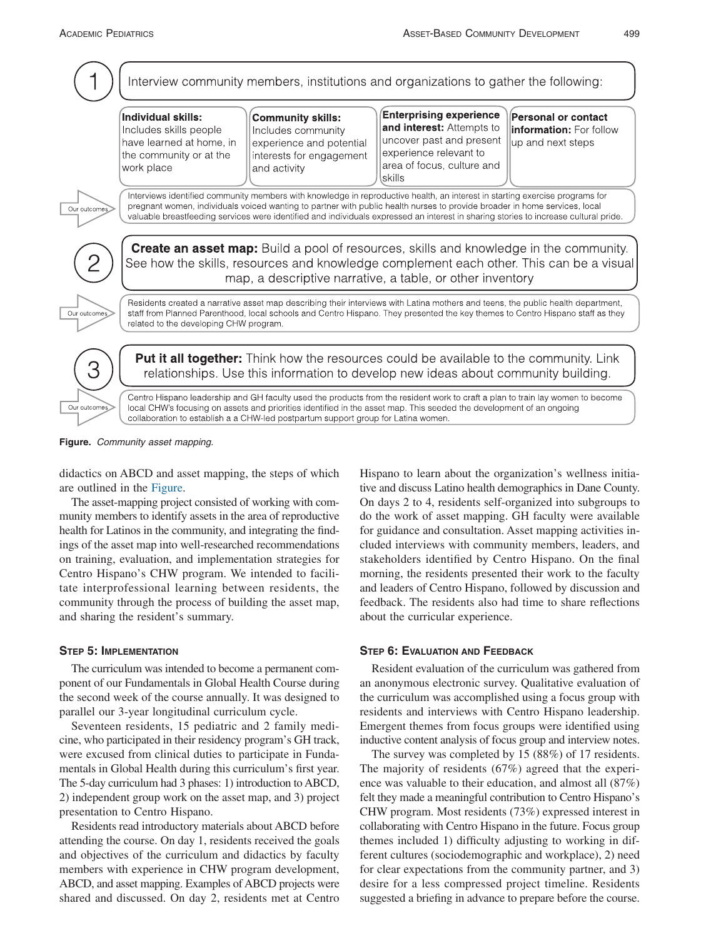

Interviews identified community members with knowledge in reproductive health, an interest in starting exercise programs for pregnant women, individuals voiced wanting to partner with public health nurses to provide broader in home services, local valuable breastfeeding services were identified and individuals expressed an interest in sharing stories to increase cultural pride.

**Create an asset map:** Build a pool of resources, skills and knowledge in the community. See how the skills, resources and knowledge complement each other. This can be a visual map, a descriptive narrative, a table, or other inventory

Residents created a narrative asset map describing their interviews with Latina mothers and teens, the public health department, staff from Planned Parenthood, local schools and Centro Hispano. They presented the key themes to Centro Hispano staff as they related to the developing CHW program.



Our outcome

Our outcomes

Put it all together: Think how the resources could be available to the community. Link relationships. Use this information to develop new ideas about community building.

Centro Hispano leadership and GH faculty used the products from the resident work to craft a plan to train lay women to become local CHW's focusing on assets and priorities identified in the asset map. This seeded the development of an ongoing collaboration to establish a a CHW-led postpartum support group for Latina women

<span id="page-3-0"></span>**Figure.** *Community asset mapping.*

didactics on ABCD and asset mapping, the steps of which are outlined in the [Figure.](#page-3-0)

The asset-mapping project consisted of working with community members to identify assets in the area of reproductive health for Latinos in the community, and integrating the findings of the asset map into well-researched recommendations on training, evaluation, and implementation strategies for Centro Hispano's CHW program. We intended to facilitate interprofessional learning between residents, the community through the process of building the asset map, and sharing the resident's summary.

# **STEP 5: IMPLEMENTATION**

The curriculum was intended to become a permanent component of our Fundamentals in Global Health Course during the second week of the course annually. It was designed to parallel our 3-year longitudinal curriculum cycle.

Seventeen residents, 15 pediatric and 2 family medicine, who participated in their residency program's GH track, were excused from clinical duties to participate in Fundamentals in Global Health during this curriculum's first year. The 5-day curriculum had 3 phases: 1) introduction to ABCD, 2) independent group work on the asset map, and 3) project presentation to Centro Hispano.

Residents read introductory materials about ABCD before attending the course. On day 1, residents received the goals and objectives of the curriculum and didactics by faculty members with experience in CHW program development, ABCD, and asset mapping. Examples of ABCD projects were shared and discussed. On day 2, residents met at Centro

Hispano to learn about the organization's wellness initiative and discuss Latino health demographics in Dane County. On days 2 to 4, residents self-organized into subgroups to do the work of asset mapping. GH faculty were available for guidance and consultation. Asset mapping activities included interviews with community members, leaders, and stakeholders identified by Centro Hispano. On the final morning, the residents presented their work to the faculty and leaders of Centro Hispano, followed by discussion and feedback. The residents also had time to share reflections about the curricular experience.

# **STEP 6: EVALUATION AND FEEDBACK**

Resident evaluation of the curriculum was gathered from an anonymous electronic survey. Qualitative evaluation of the curriculum was accomplished using a focus group with residents and interviews with Centro Hispano leadership. Emergent themes from focus groups were identified using inductive content analysis of focus group and interview notes.

The survey was completed by 15 (88%) of 17 residents. The majority of residents (67%) agreed that the experience was valuable to their education, and almost all (87%) felt they made a meaningful contribution to Centro Hispano's CHW program. Most residents (73%) expressed interest in collaborating with Centro Hispano in the future. Focus group themes included 1) difficulty adjusting to working in different cultures (sociodemographic and workplace), 2) need for clear expectations from the community partner, and 3) desire for a less compressed project timeline. Residents suggested a briefing in advance to prepare before the course.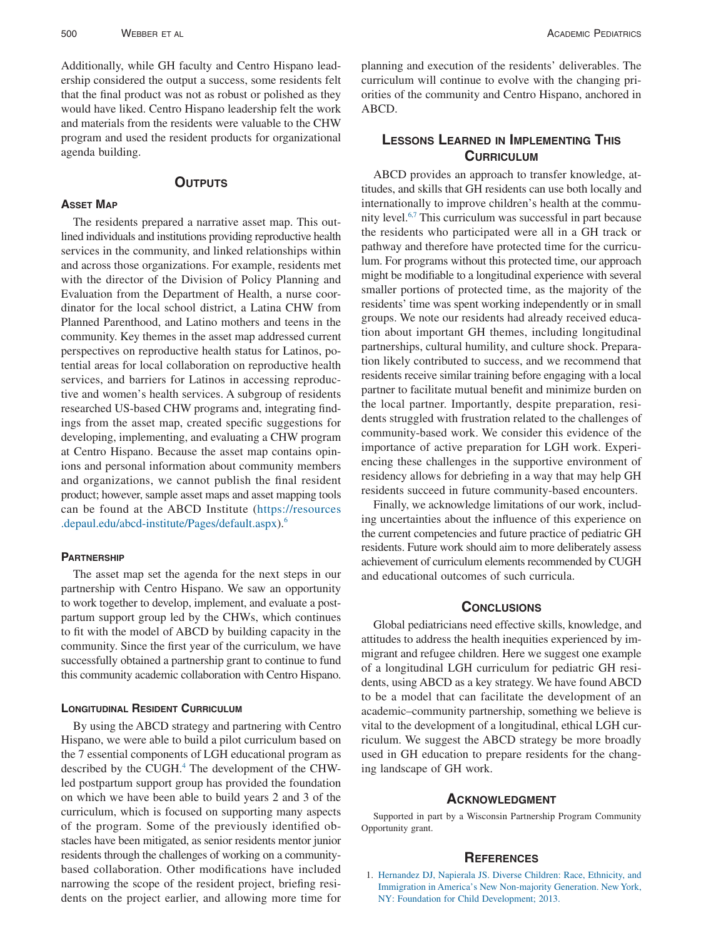Additionally, while GH faculty and Centro Hispano leadership considered the output a success, some residents felt that the final product was not as robust or polished as they would have liked. Centro Hispano leadership felt the work and materials from the residents were valuable to the CHW program and used the resident products for organizational agenda building.

## **OUTPUTS**

# **ASSET MAP**

The residents prepared a narrative asset map. This outlined individuals and institutions providing reproductive health services in the community, and linked relationships within and across those organizations. For example, residents met with the director of the Division of Policy Planning and Evaluation from the Department of Health, a nurse coordinator for the local school district, a Latina CHW from Planned Parenthood, and Latino mothers and teens in the community. Key themes in the asset map addressed current perspectives on reproductive health status for Latinos, potential areas for local collaboration on reproductive health services, and barriers for Latinos in accessing reproductive and women's health services. A subgroup of residents researched US-based CHW programs and, integrating findings from the asset map, created specific suggestions for developing, implementing, and evaluating a CHW program at Centro Hispano. Because the asset map contains opinions and personal information about community members and organizations, we cannot publish the final resident product; however, sample asset maps and asset mapping tools can be found at the ABCD Institute [\(https://resources](https://resources.depaul.edu/abcd-institute/Pages/default.aspx) [.depaul.edu/abcd-institute/Pages/default.aspx\)](https://resources.depaul.edu/abcd-institute/Pages/default.aspx)[.6](#page-5-4)

#### **PARTNERSHIP**

The asset map set the agenda for the next steps in our partnership with Centro Hispano. We saw an opportunity to work together to develop, implement, and evaluate a postpartum support group led by the CHWs, which continues to fit with the model of ABCD by building capacity in the community. Since the first year of the curriculum, we have successfully obtained a partnership grant to continue to fund this community academic collaboration with Centro Hispano.

#### **LONGITUDINAL RESIDENT CURRICULUM**

By using the ABCD strategy and partnering with Centro Hispano, we were able to build a pilot curriculum based on the 7 essential components of LGH educational program as described by the CUGH.<sup>4</sup> The development of the CHWled postpartum support group has provided the foundation on which we have been able to build years 2 and 3 of the curriculum, which is focused on supporting many aspects of the program. Some of the previously identified obstacles have been mitigated, as senior residents mentor junior residents through the challenges of working on a communitybased collaboration. Other modifications have included narrowing the scope of the resident project, briefing residents on the project earlier, and allowing more time for

planning and execution of the residents' deliverables. The curriculum will continue to evolve with the changing priorities of the community and Centro Hispano, anchored in ABCD.

# **LESSONS LEARNED IN IMPLEMENTING THIS CURRICULUM**

ABCD provides an approach to transfer knowledge, attitudes, and skills that GH residents can use both locally and internationally to improve children's health at the community level[.6,7](#page-5-4) This curriculum was successful in part because the residents who participated were all in a GH track or pathway and therefore have protected time for the curriculum. For programs without this protected time, our approach might be modifiable to a longitudinal experience with several smaller portions of protected time, as the majority of the residents' time was spent working independently or in small groups. We note our residents had already received education about important GH themes, including longitudinal partnerships, cultural humility, and culture shock. Preparation likely contributed to success, and we recommend that residents receive similar training before engaging with a local partner to facilitate mutual benefit and minimize burden on the local partner. Importantly, despite preparation, residents struggled with frustration related to the challenges of community-based work. We consider this evidence of the importance of active preparation for LGH work. Experiencing these challenges in the supportive environment of residency allows for debriefing in a way that may help GH residents succeed in future community-based encounters.

Finally, we acknowledge limitations of our work, including uncertainties about the influence of this experience on the current competencies and future practice of pediatric GH residents. Future work should aim to more deliberately assess achievement of curriculum elements recommended by CUGH and educational outcomes of such curricula.

# **CONCLUSIONS**

Global pediatricians need effective skills, knowledge, and attitudes to address the health inequities experienced by immigrant and refugee children. Here we suggest one example of a longitudinal LGH curriculum for pediatric GH residents, using ABCD as a key strategy. We have found ABCD to be a model that can facilitate the development of an academic–community partnership, something we believe is vital to the development of a longitudinal, ethical LGH curriculum. We suggest the ABCD strategy be more broadly used in GH education to prepare residents for the changing landscape of GH work.

#### **ACKNOWLEDGMENT**

Supported in part by a Wisconsin Partnership Program Community Opportunity grant.

#### **REFERENCES**

<span id="page-4-0"></span>1. [Hernandez DJ, Napierala JS. Diverse Children: Race, Ethnicity, and](http://refhub.elsevier.com/S1876-2859(18)30071-8/sr0010) [Immigration in America's New Non-majority Generation. New York,](http://refhub.elsevier.com/S1876-2859(18)30071-8/sr0010) [NY: Foundation for Child Development; 2013.](http://refhub.elsevier.com/S1876-2859(18)30071-8/sr0010)